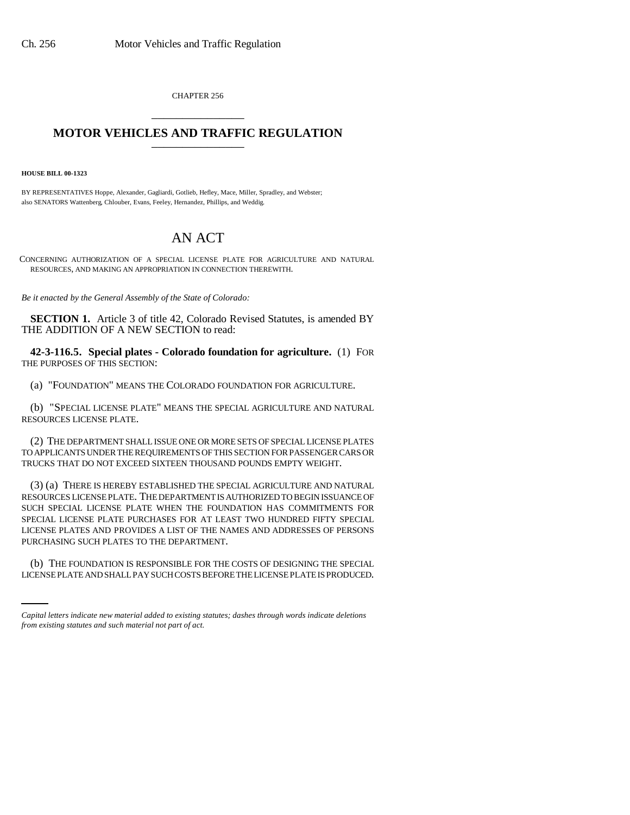CHAPTER 256 \_\_\_\_\_\_\_\_\_\_\_\_\_\_\_

## **MOTOR VEHICLES AND TRAFFIC REGULATION** \_\_\_\_\_\_\_\_\_\_\_\_\_\_\_

**HOUSE BILL 00-1323** 

BY REPRESENTATIVES Hoppe, Alexander, Gagliardi, Gotlieb, Hefley, Mace, Miller, Spradley, and Webster; also SENATORS Wattenberg, Chlouber, Evans, Feeley, Hernandez, Phillips, and Weddig.

## AN ACT

CONCERNING AUTHORIZATION OF A SPECIAL LICENSE PLATE FOR AGRICULTURE AND NATURAL RESOURCES, AND MAKING AN APPROPRIATION IN CONNECTION THEREWITH.

*Be it enacted by the General Assembly of the State of Colorado:*

**SECTION 1.** Article 3 of title 42, Colorado Revised Statutes, is amended BY THE ADDITION OF A NEW SECTION to read:

**42-3-116.5. Special plates - Colorado foundation for agriculture.** (1) FOR THE PURPOSES OF THIS SECTION:

(a) "FOUNDATION" MEANS THE COLORADO FOUNDATION FOR AGRICULTURE.

(b) "SPECIAL LICENSE PLATE" MEANS THE SPECIAL AGRICULTURE AND NATURAL RESOURCES LICENSE PLATE.

(2) THE DEPARTMENT SHALL ISSUE ONE OR MORE SETS OF SPECIAL LICENSE PLATES TO APPLICANTS UNDER THE REQUIREMENTS OF THIS SECTION FOR PASSENGER CARS OR TRUCKS THAT DO NOT EXCEED SIXTEEN THOUSAND POUNDS EMPTY WEIGHT.

(3) (a) THERE IS HEREBY ESTABLISHED THE SPECIAL AGRICULTURE AND NATURAL RESOURCES LICENSE PLATE. THE DEPARTMENT IS AUTHORIZED TO BEGIN ISSUANCE OF SUCH SPECIAL LICENSE PLATE WHEN THE FOUNDATION HAS COMMITMENTS FOR SPECIAL LICENSE PLATE PURCHASES FOR AT LEAST TWO HUNDRED FIFTY SPECIAL LICENSE PLATES AND PROVIDES A LIST OF THE NAMES AND ADDRESSES OF PERSONS PURCHASING SUCH PLATES TO THE DEPARTMENT.

(b) THE FOUNDATION IS RESPONSIBLE FOR THE COSTS OF DESIGNING THE SPECIAL LICENSE PLATE AND SHALL PAY SUCH COSTS BEFORE THE LICENSE PLATE IS PRODUCED.

*Capital letters indicate new material added to existing statutes; dashes through words indicate deletions from existing statutes and such material not part of act.*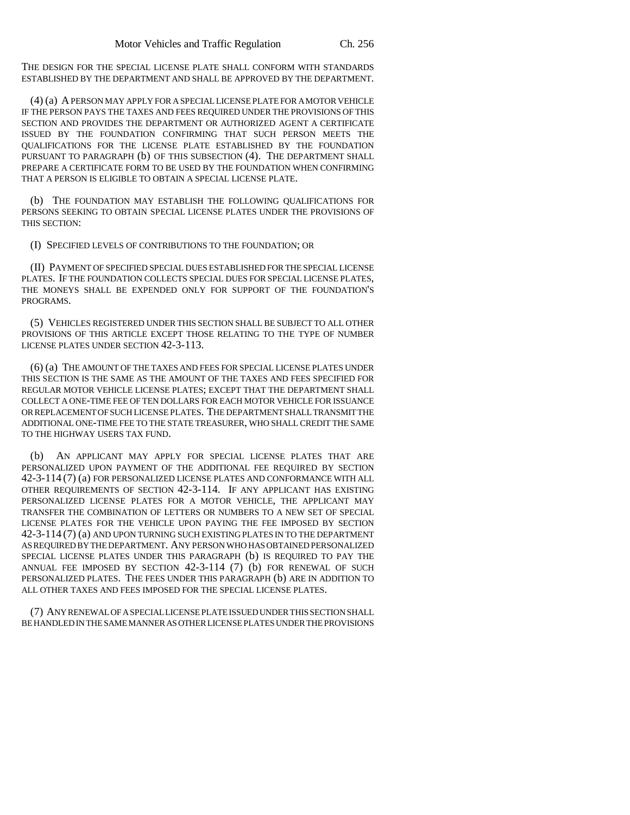THE DESIGN FOR THE SPECIAL LICENSE PLATE SHALL CONFORM WITH STANDARDS ESTABLISHED BY THE DEPARTMENT AND SHALL BE APPROVED BY THE DEPARTMENT.

(4) (a) A PERSON MAY APPLY FOR A SPECIAL LICENSE PLATE FOR A MOTOR VEHICLE IF THE PERSON PAYS THE TAXES AND FEES REQUIRED UNDER THE PROVISIONS OF THIS SECTION AND PROVIDES THE DEPARTMENT OR AUTHORIZED AGENT A CERTIFICATE ISSUED BY THE FOUNDATION CONFIRMING THAT SUCH PERSON MEETS THE QUALIFICATIONS FOR THE LICENSE PLATE ESTABLISHED BY THE FOUNDATION PURSUANT TO PARAGRAPH (b) OF THIS SUBSECTION (4). THE DEPARTMENT SHALL PREPARE A CERTIFICATE FORM TO BE USED BY THE FOUNDATION WHEN CONFIRMING THAT A PERSON IS ELIGIBLE TO OBTAIN A SPECIAL LICENSE PLATE.

(b) THE FOUNDATION MAY ESTABLISH THE FOLLOWING QUALIFICATIONS FOR PERSONS SEEKING TO OBTAIN SPECIAL LICENSE PLATES UNDER THE PROVISIONS OF THIS SECTION:

(I) SPECIFIED LEVELS OF CONTRIBUTIONS TO THE FOUNDATION; OR

(II) PAYMENT OF SPECIFIED SPECIAL DUES ESTABLISHED FOR THE SPECIAL LICENSE PLATES. IF THE FOUNDATION COLLECTS SPECIAL DUES FOR SPECIAL LICENSE PLATES, THE MONEYS SHALL BE EXPENDED ONLY FOR SUPPORT OF THE FOUNDATION'S PROGRAMS.

(5) VEHICLES REGISTERED UNDER THIS SECTION SHALL BE SUBJECT TO ALL OTHER PROVISIONS OF THIS ARTICLE EXCEPT THOSE RELATING TO THE TYPE OF NUMBER LICENSE PLATES UNDER SECTION 42-3-113.

(6) (a) THE AMOUNT OF THE TAXES AND FEES FOR SPECIAL LICENSE PLATES UNDER THIS SECTION IS THE SAME AS THE AMOUNT OF THE TAXES AND FEES SPECIFIED FOR REGULAR MOTOR VEHICLE LICENSE PLATES; EXCEPT THAT THE DEPARTMENT SHALL COLLECT A ONE-TIME FEE OF TEN DOLLARS FOR EACH MOTOR VEHICLE FOR ISSUANCE OR REPLACEMENT OF SUCH LICENSE PLATES. THE DEPARTMENT SHALL TRANSMIT THE ADDITIONAL ONE-TIME FEE TO THE STATE TREASURER, WHO SHALL CREDIT THE SAME TO THE HIGHWAY USERS TAX FUND.

(b) AN APPLICANT MAY APPLY FOR SPECIAL LICENSE PLATES THAT ARE PERSONALIZED UPON PAYMENT OF THE ADDITIONAL FEE REQUIRED BY SECTION 42-3-114 (7) (a) FOR PERSONALIZED LICENSE PLATES AND CONFORMANCE WITH ALL OTHER REQUIREMENTS OF SECTION 42-3-114. IF ANY APPLICANT HAS EXISTING PERSONALIZED LICENSE PLATES FOR A MOTOR VEHICLE, THE APPLICANT MAY TRANSFER THE COMBINATION OF LETTERS OR NUMBERS TO A NEW SET OF SPECIAL LICENSE PLATES FOR THE VEHICLE UPON PAYING THE FEE IMPOSED BY SECTION 42-3-114 (7) (a) AND UPON TURNING SUCH EXISTING PLATES IN TO THE DEPARTMENT AS REQUIRED BY THE DEPARTMENT. ANY PERSON WHO HAS OBTAINED PERSONALIZED SPECIAL LICENSE PLATES UNDER THIS PARAGRAPH (b) IS REQUIRED TO PAY THE ANNUAL FEE IMPOSED BY SECTION 42-3-114 (7) (b) FOR RENEWAL OF SUCH PERSONALIZED PLATES. THE FEES UNDER THIS PARAGRAPH (b) ARE IN ADDITION TO ALL OTHER TAXES AND FEES IMPOSED FOR THE SPECIAL LICENSE PLATES.

(7) ANY RENEWAL OF A SPECIAL LICENSE PLATE ISSUED UNDER THIS SECTION SHALL BE HANDLED IN THE SAME MANNER AS OTHER LICENSE PLATES UNDER THE PROVISIONS